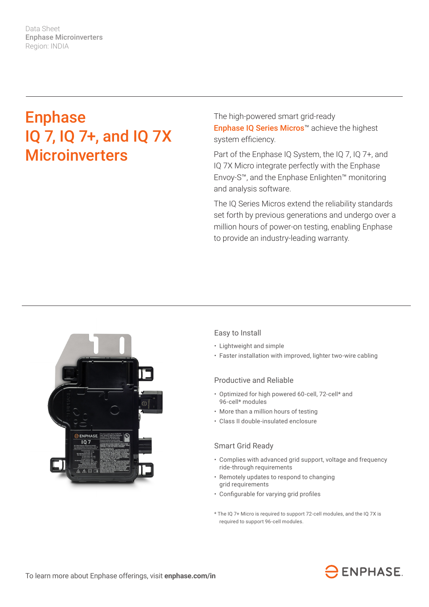Data Sheet Enphase Microinverters Region: INDIA

# Enphase IQ 7, IQ 7+, and IQ 7X **Microinverters**

The high-powered smart grid-ready Enphase IQ Series Micros™ achieve the highest system efficiency.

Part of the Enphase IQ System, the IQ 7, IQ 7+, and IQ 7X Micro integrate perfectly with the Enphase Envoy-S™, and the Enphase Enlighten™ monitoring and analysis software.

The IQ Series Micros extend the reliability standards set forth by previous generations and undergo over a million hours of power-on testing, enabling Enphase to provide an industry-leading warranty.



# Easy to Install

- Lightweight and simple
- Faster installation with improved, lighter two-wire cabling

### Productive and Reliable

- Optimized for high powered 60-cell, 72-cell\* and 96-cell\* modules
- More than a million hours of testing
- Class II double-insulated enclosure

#### Smart Grid Ready

- Complies with advanced grid support, voltage and frequency ride-through requirements
- Remotely updates to respond to changing grid requirements
- • Configurable for varying grid profiles
- \* The IQ 7+ Micro is required to support 72-cell modules, and the IQ 7X is required to support 96-cell modules.